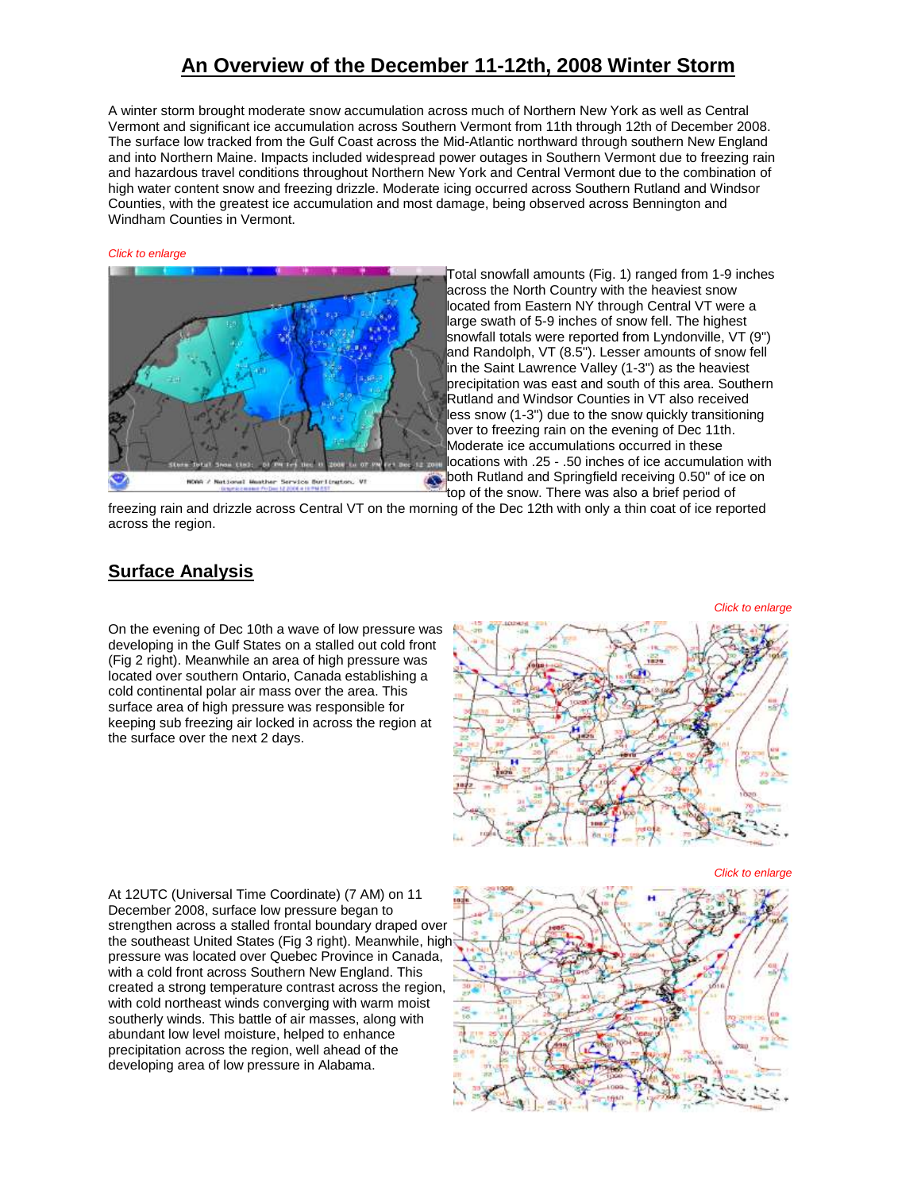# **An Overview of the December 11-12th, 2008 Winter Storm**

A winter storm brought moderate snow accumulation across much of Northern New York as well as Central Vermont and significant ice accumulation across Southern Vermont from 11th through 12th of December 2008. The surface low tracked from the Gulf Coast across the Mid-Atlantic northward through southern New England and into Northern Maine. Impacts included widespread power outages in Southern Vermont due to freezing rain and hazardous travel conditions throughout Northern New York and Central Vermont due to the combination of high water content snow and freezing drizzle. Moderate icing occurred across Southern Rutland and Windsor Counties, with the greatest ice accumulation and most damage, being observed across Bennington and Windham Counties in Vermont.

#### *Click to enlarge*



Total snowfall amounts (Fig. 1) ranged from 1-9 inches across the North Country with the heaviest snow located from Eastern NY through Central VT were a large swath of 5-9 inches of snow fell. The highest snowfall totals were reported from Lyndonville, VT (9") and Randolph, VT (8.5"). Lesser amounts of snow fell in the Saint Lawrence Valley (1-3") as the heaviest precipitation was east and south of this area. Southern Rutland and Windsor Counties in VT also received less snow (1-3") due to the snow quickly transitioning over to freezing rain on the evening of Dec 11th. Moderate ice accumulations occurred in these locations with .25 - .50 inches of ice accumulation with both Rutland and Springfield receiving 0.50" of ice on top of the snow. There was also a brief period of

freezing rain and drizzle across Central VT on the morning of the Dec 12th with only a thin coat of ice reported across the region.

## **Surface Analysis**

On the evening of Dec 10th a wave of low pressure was developing in the Gulf States on a stalled out cold front (Fig 2 right). Meanwhile an area of high pressure was located over southern Ontario, Canada establishing a cold continental polar air mass over the area. This surface area of high pressure was responsible for keeping sub freezing air locked in across the region at the surface over the next 2 days.

*Click to enlarge*



At 12UTC (Universal Time Coordinate) (7 AM) on 11 December 2008, surface low pressure began to strengthen across a stalled frontal boundary draped over the southeast United States (Fig 3 right). Meanwhile, high pressure was located over Quebec Province in Canada, with a cold front across Southern New England. This created a strong temperature contrast across the region, with cold northeast winds converging with warm moist southerly winds. This battle of air masses, along with abundant low level moisture, helped to enhance precipitation across the region, well ahead of the developing area of low pressure in Alabama.

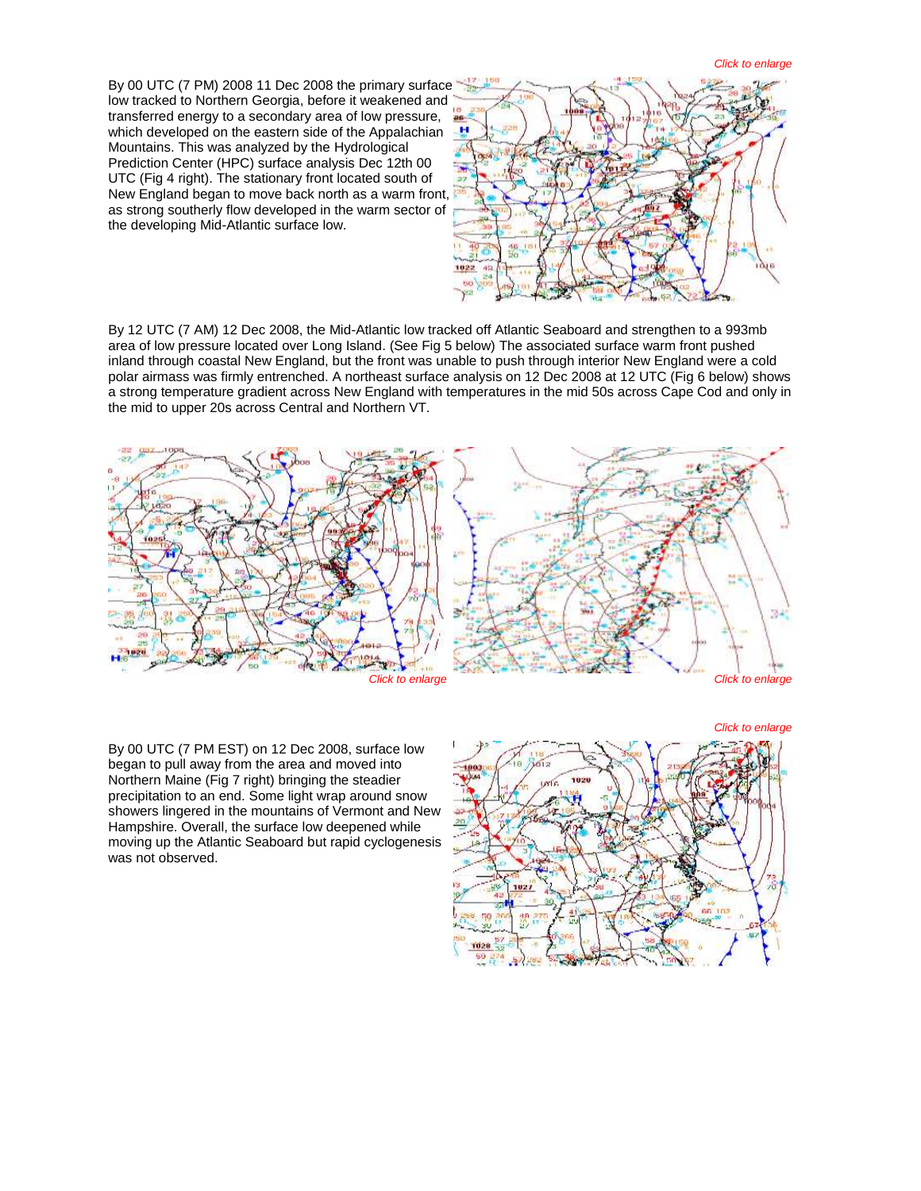By 00 UTC (7 PM) 2008 11 Dec 2008 the primary surfac[e](http://www.weather.gov/images/btv/events/12Dec2008/fig%204.png)  low tracked to Northern Georgia, before it weakened and transferred energy to a secondary area of low pressure, which developed on the eastern side of the Appalachian Mountains. This was analyzed by the Hydrological Prediction Center (HPC) surface analysis Dec 12th 00 UTC (Fig 4 right). The stationary front located south of New England began to move back north as a warm front, as strong southerly flow developed in the warm sector of the developing Mid-Atlantic surface low.



By 12 UTC (7 AM) 12 Dec 2008, the Mid-Atlantic low tracked off Atlantic Seaboard and strengthen to a 993mb area of low pressure located over Long Island. (See Fig 5 below) The associated surface warm front pushed inland through coastal New England, but the front was unable to push through interior New England were a cold polar airmass was firmly entrenched. A northeast surface analysis on 12 Dec 2008 at 12 UTC (Fig 6 below) shows a strong temperature gradient across New England with temperatures in the mid 50s across Cape Cod and only in the mid to upper 20s across Central and Northern VT.



By 00 UTC (7 PM EST) on 12 Dec 2008, surface low began to pull away from the area and moved into Northern Maine (Fig 7 right) bringing the steadier precipitation to an end. Some light wrap around snow showers lingered in the mountains of Vermont and New Hampshire. Overall, the surface low deepened while moving up the Atlantic Seaboard but rapid cyclogenesis was not observed.

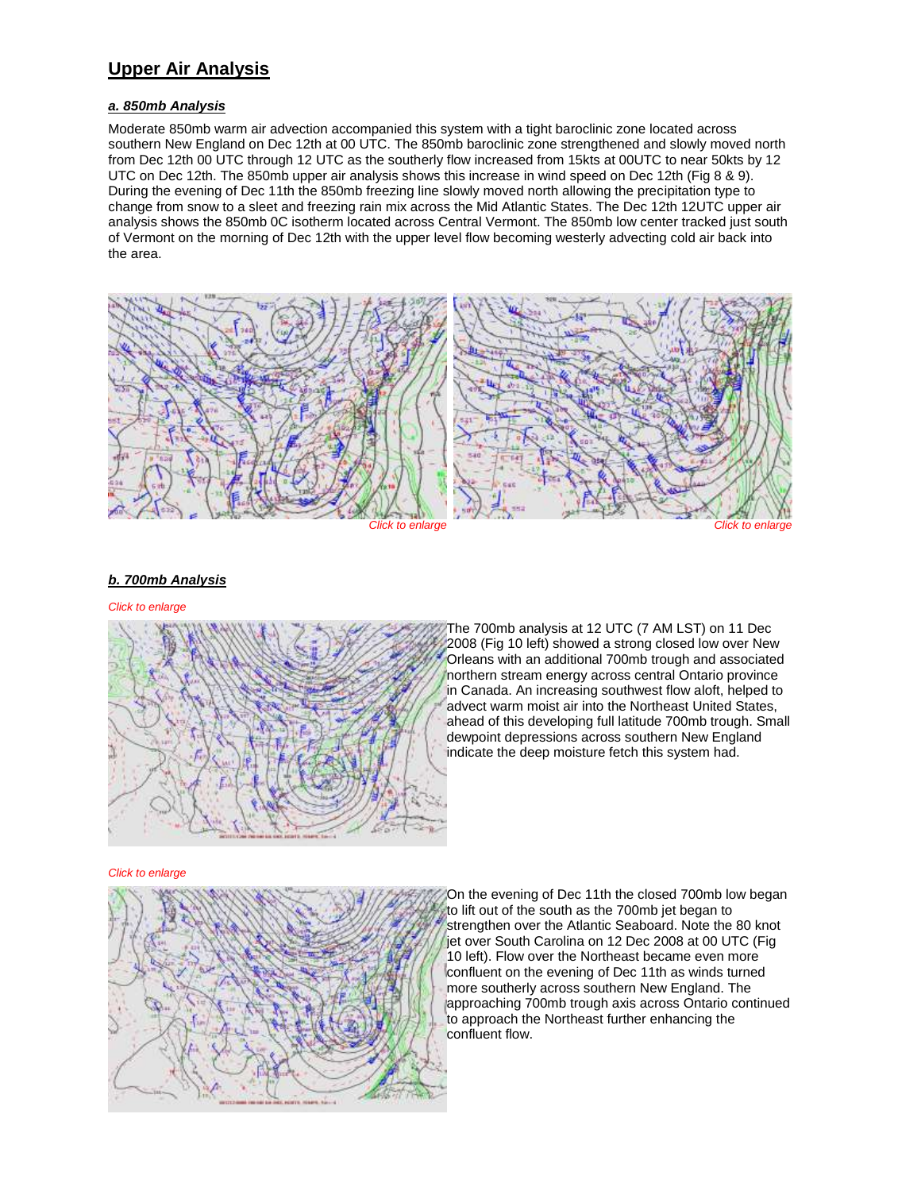## **Upper Air Analysis**

## *a. 850mb Analysis*

Moderate 850mb warm air advection accompanied this system with a tight baroclinic zone located across southern New England on Dec 12th at 00 UTC. The 850mb baroclinic zone strengthened and slowly moved north from Dec 12th 00 UTC through 12 UTC as the southerly flow increased from 15kts at 00UTC to near 50kts by 12 UTC on Dec 12th. The 850mb upper air analysis shows this increase in wind speed on Dec 12th (Fig 8 & 9). During the evening of Dec 11th the 850mb freezing line slowly moved north allowing the precipitation type to change from snow to a sleet and freezing rain mix across the Mid Atlantic States. The Dec 12th 12UTC upper air analysis shows the 850mb 0C isotherm located across Central Vermont. The 850mb low center tracked just south of Vermont on the morning of Dec 12th with the upper level flow becoming westerly advecting cold air back into the area.



## *b. 700mb Analysis*

#### *Click to enlarge*



The 700mb analysis at 12 UTC (7 AM LST) on 11 Dec 2008 (Fig 10 left) showed a strong closed low over New Orleans with an additional 700mb trough and associated northern stream energy across central Ontario province in Canada. An increasing southwest flow aloft, helped to advect warm moist air into the Northeast United States, ahead of this developing full latitude 700mb trough. Small dewpoint depressions across southern New England indicate the deep moisture fetch this system had.

#### *Click to enlarge*



On the evening of Dec 11th the closed 700mb low began to lift out of the south as the 700mb jet began to strengthen over the Atlantic Seaboard. Note the 80 knot jet over South Carolina on 12 Dec 2008 at 00 UTC (Fig 10 left). Flow over the Northeast became even more confluent on the evening of Dec 11th as winds turned more southerly across southern New England. The approaching 700mb trough axis across Ontario continued to approach the Northeast further enhancing the confluent flow.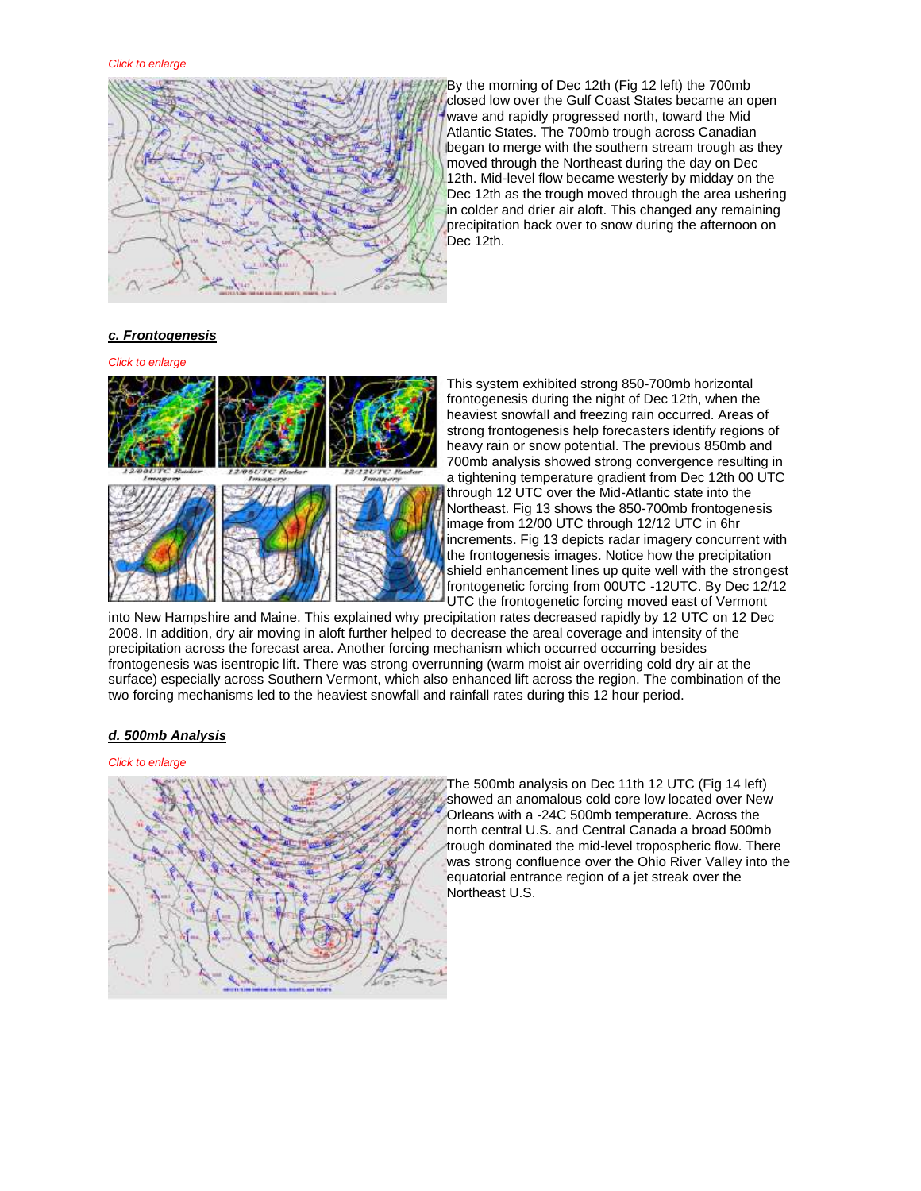

By the morning of Dec 12th (Fig 12 left) the 700mb closed low over the Gulf Coast States became an open wave and rapidly progressed north, toward the Mid Atlantic States. The 700mb trough across Canadian began to merge with the southern stream trough as they moved through the Northeast during the day on Dec 12th. Mid-level flow became westerly by midday on the Dec 12th as the trough moved through the area ushering in colder and drier air aloft. This changed any remaining precipitation back over to snow during the afternoon on Dec 12th.

## *c. Frontogenesis*

*Click to enlarge*



This system exhibited strong 850-700mb horizontal frontogenesis during the night of Dec 12th, when the heaviest snowfall and freezing rain occurred. Areas of strong frontogenesis help forecasters identify regions of heavy rain or snow potential. The previous 850mb and 700mb analysis showed strong convergence resulting in a tightening temperature gradient from Dec 12th 00 UTC through 12 UTC over the Mid-Atlantic state into the Northeast. Fig 13 shows the 850-700mb frontogenesis image from 12/00 UTC through 12/12 UTC in 6hr increments. Fig 13 depicts radar imagery concurrent with the frontogenesis images. Notice how the precipitation shield enhancement lines up quite well with the strongest frontogenetic forcing from 00UTC -12UTC. By Dec 12/12 UTC the frontogenetic forcing moved east of Vermont

into New Hampshire and Maine. This explained why precipitation rates decreased rapidly by 12 UTC on 12 Dec 2008. In addition, dry air moving in aloft further helped to decrease the areal coverage and intensity of the precipitation across the forecast area. Another forcing mechanism which occurred occurring besides frontogenesis was isentropic lift. There was strong overrunning (warm moist air overriding cold dry air at the surface) especially across Southern Vermont, which also enhanced lift across the region. The combination of the two forcing mechanisms led to the heaviest snowfall and rainfall rates during this 12 hour period.

## *d. 500mb Analysis*

#### *Click to enlarge*



The 500mb analysis on Dec 11th 12 UTC (Fig 14 left) showed an anomalous cold core low located over New Orleans with a -24C 500mb temperature. Across the north central U.S. and Central Canada a broad 500mb trough dominated the mid-level tropospheric flow. There was strong confluence over the Ohio River Valley into the equatorial entrance region of a jet streak over the Northeast U.S.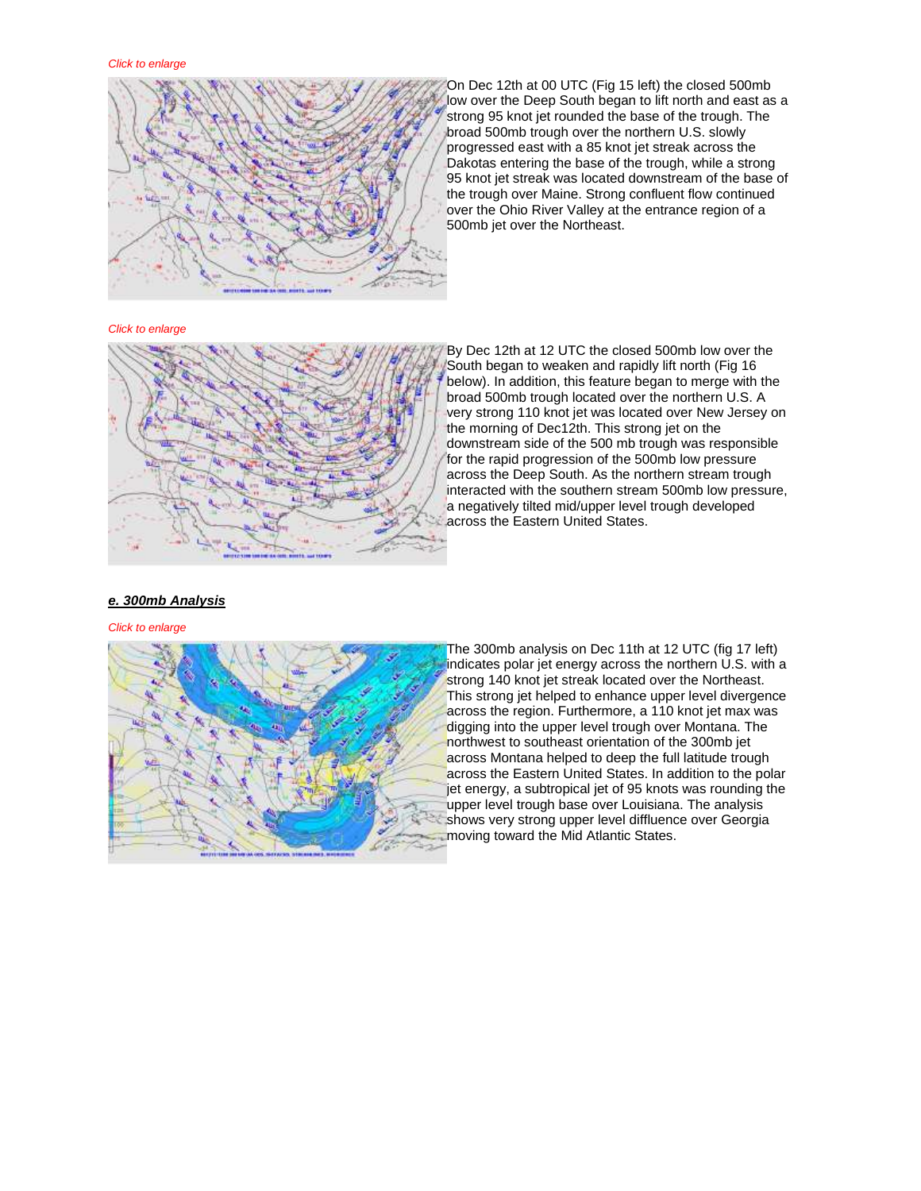

On Dec 12th at 00 UTC (Fig 15 left) the closed 500mb low over the Deep South began to lift north and east as a strong 95 knot jet rounded the base of the trough. The broad 500mb trough over the northern U.S. slowly progressed east with a 85 knot jet streak across the Dakotas entering the base of the trough, while a strong 95 knot jet streak was located downstream of the base of the trough over Maine. Strong confluent flow continued over the Ohio River Valley at the entrance region of a 500mb jet over the Northeast.

### *Click to enlarge*



By Dec 12th at 12 UTC the closed 500mb low over the South began to weaken and rapidly lift north (Fig 16 below). In addition, this feature began to merge with the broad 500mb trough located over the northern U.S. A very strong 110 knot jet was located over New Jersey on the morning of Dec12th. This strong jet on the downstream side of the 500 mb trough was responsible for the rapid progression of the 500mb low pressure across the Deep South. As the northern stream trough interacted with the southern stream 500mb low pressure, a negatively tilted mid/upper level trough developed across the Eastern United States.

## *e. 300mb Analysis*

### *Click to enlarge*



The 300mb analysis on Dec 11th at 12 UTC (fig 17 left) indicates polar jet energy across the northern U.S. with a strong 140 knot jet streak located over the Northeast. This strong jet helped to enhance upper level divergence across the region. Furthermore, a 110 knot jet max was digging into the upper level trough over Montana. The northwest to southeast orientation of the 300mb jet across Montana helped to deep the full latitude trough across the Eastern United States. In addition to the polar jet energy, a subtropical jet of 95 knots was rounding the upper level trough base over Louisiana. The analysis shows very strong upper level diffluence over Georgia moving toward the Mid Atlantic States.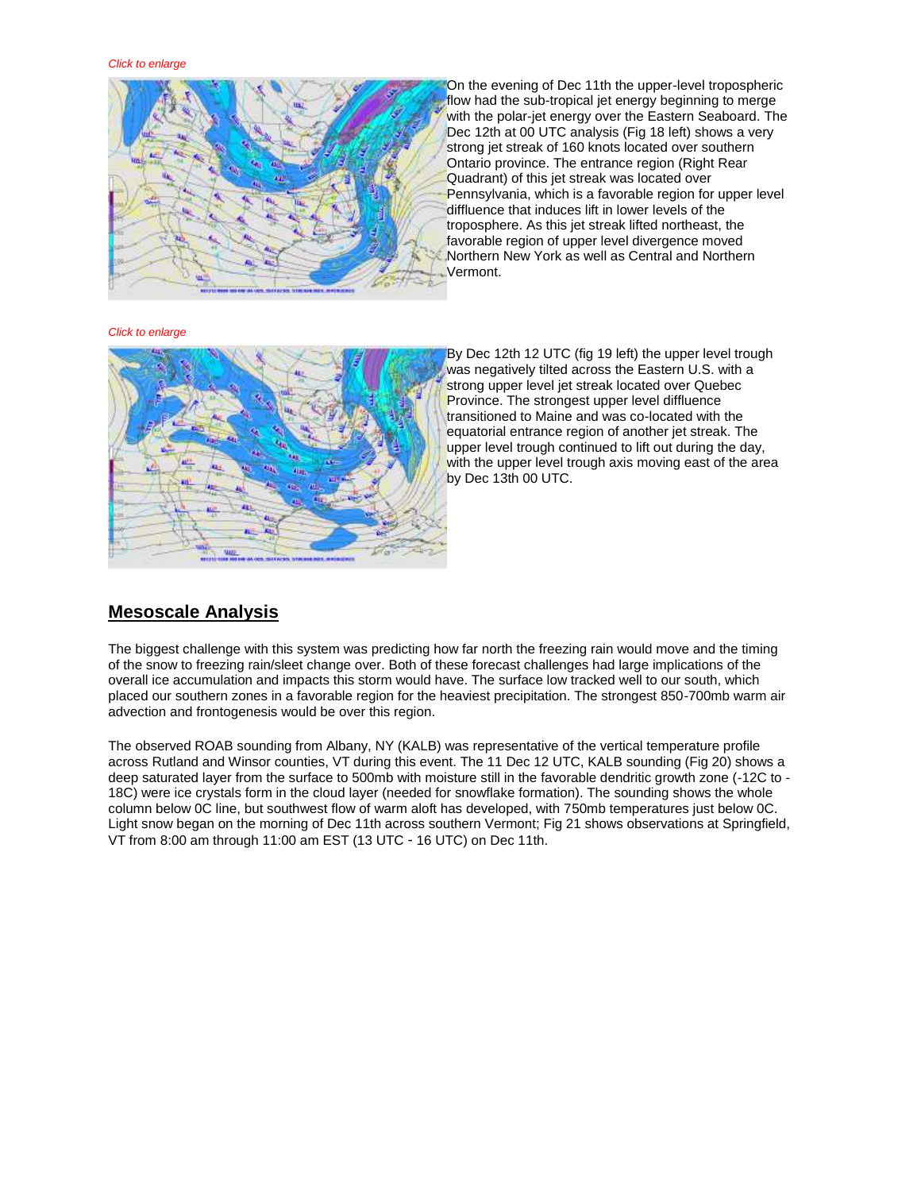

On the evening of Dec 11th the upper-level tropospheric flow had the sub-tropical jet energy beginning to merge with the polar-jet energy over the Eastern Seaboard. The Dec 12th at 00 UTC analysis (Fig 18 left) shows a very strong jet streak of 160 knots located over southern Ontario province. The entrance region (Right Rear Quadrant) of this jet streak was located over Pennsylvania, which is a favorable region for upper level diffluence that induces lift in lower levels of the troposphere. As this jet streak lifted northeast, the favorable region of upper level divergence moved Northern New York as well as Central and Northern Vermont.

*Click to enlarge*



By Dec 12th 12 UTC (fig 19 left) the upper level trough was negatively tilted across the Eastern U.S. with a strong upper level jet streak located over Quebec Province. The strongest upper level diffluence transitioned to Maine and was co-located with the equatorial entrance region of another jet streak. The upper level trough continued to lift out during the day, with the upper level trough axis moving east of the area by Dec 13th 00 UTC.

## **Mesoscale Analysis**

The biggest challenge with this system was predicting how far north the freezing rain would move and the timing of the snow to freezing rain/sleet change over. Both of these forecast challenges had large implications of the overall ice accumulation and impacts this storm would have. The surface low tracked well to our south, which placed our southern zones in a favorable region for the heaviest precipitation. The strongest 850-700mb warm air advection and frontogenesis would be over this region.

The observed ROAB sounding from Albany, NY (KALB) was representative of the vertical temperature profile across Rutland and Winsor counties, VT during this event. The 11 Dec 12 UTC, KALB sounding (Fig 20) shows a deep saturated layer from the surface to 500mb with moisture still in the favorable dendritic growth zone (-12C to - 18C) were ice crystals form in the cloud layer (needed for snowflake formation). The sounding shows the whole column below 0C line, but southwest flow of warm aloft has developed, with 750mb temperatures just below 0C. Light snow began on the morning of Dec 11th across southern Vermont; Fig 21 shows observations at Springfield, VT from 8:00 am through 11:00 am EST (13 UTC - 16 UTC) on Dec 11th.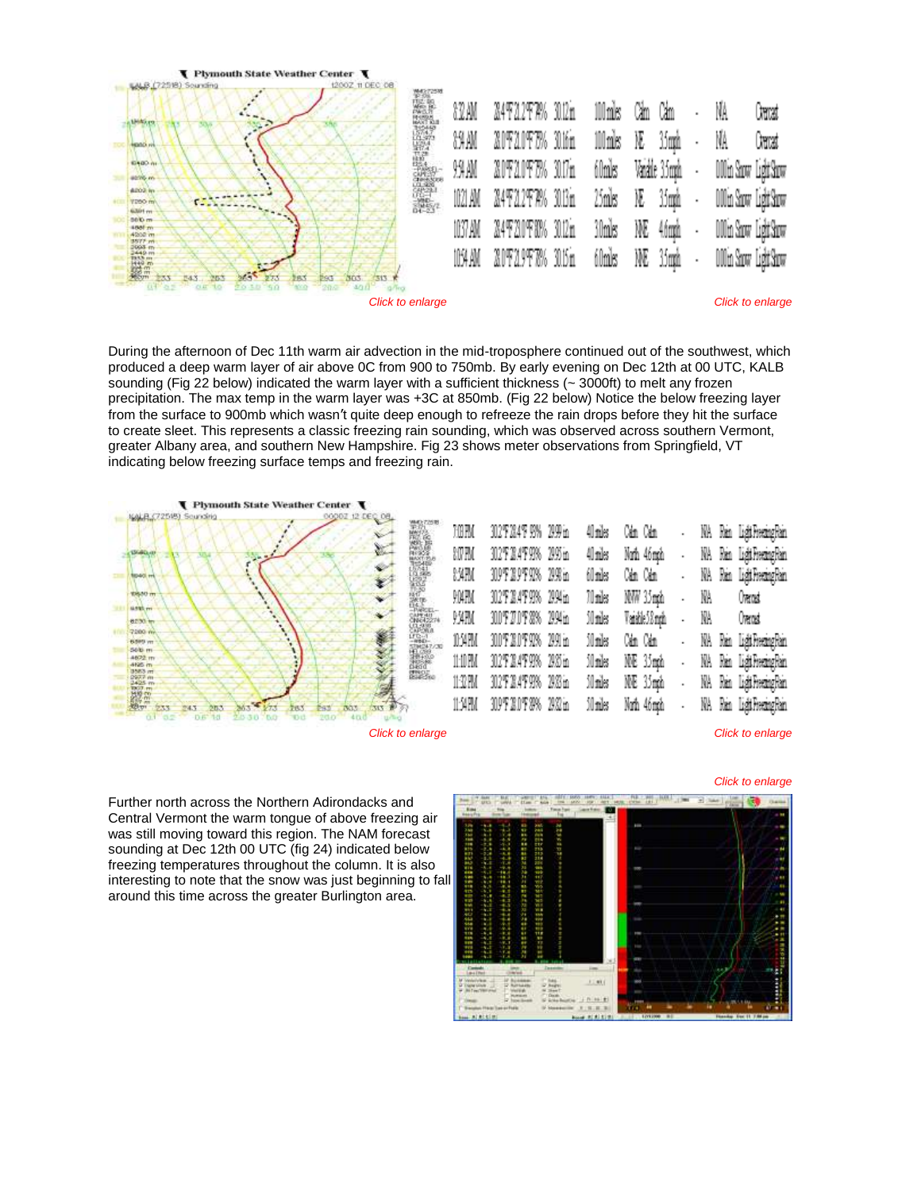

During the afternoon of Dec 11th warm air advection in the mid-troposphere continued out of the southwest, which produced a deep warm layer of air above 0C from 900 to 750mb. By early evening on Dec 12th at 00 UTC, KALB sounding (Fig 22 below) indicated the warm layer with a sufficient thickness (~ 3000ft) to melt any frozen precipitation. The max temp in the warm layer was +3C at 850mb. (Fig 22 below) Notice the below freezing layer from the surface to 900mb which wasn't quite deep enough to refreeze the rain drops before they hit the surface to create sleet. This represents a classic freezing rain sounding, which was observed across southern Vermont, greater Albany area, and southern New Hampshire. Fig 23 shows meter observations from Springfield, VT indicating below freezing surface temps and freezing rain.



*Click to enlarge*

Further north across the Northern Adirondacks and Central Vermont the warm tongue of above freezing air was still moving toward this region. The NAM forecast sounding at Dec 12th 00 UTC (fig 24) indicated below freezing temperatures throughout the column. It is also interesting to note that the snow was just beginning to fall around this time across the greater Burlington area.

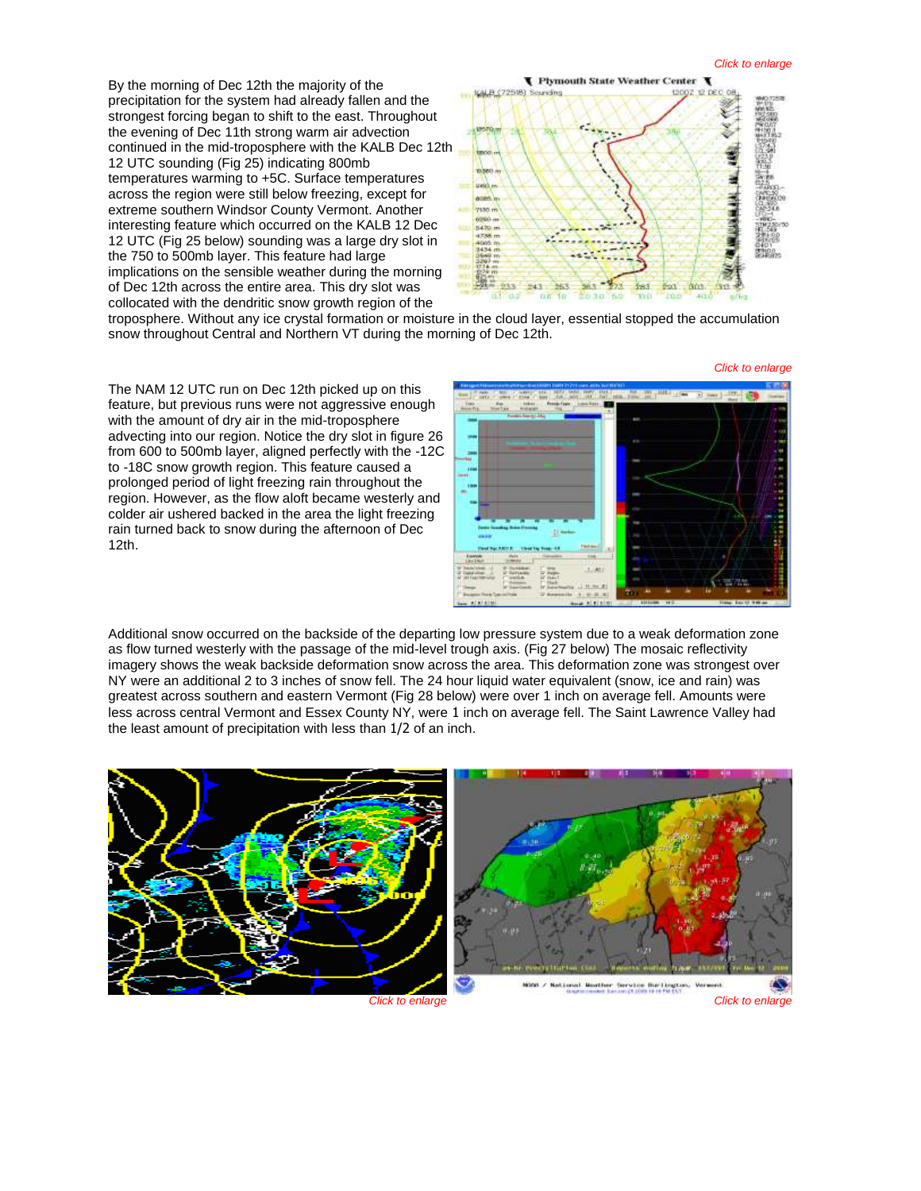By the morning of Dec 12th the majority of the precipitation for the system had already fallen and the strongest forcing began to shift to the east. Throughout the evening of Dec 11th strong warm air advection continued in the mid-troposphere with the KALB Dec 12t[h](http://www.weather.gov/images/btv/events/12Dec2008/fig%2025.png)  12 UTC sounding (Fig 25) indicating 800mb temperatures warming to +5C. Surface temperatures across the region were still below freezing, except for extreme southern Windsor County Vermont. Another interesting feature which occurred on the KALB 12 Dec 12 UTC (Fig 25 below) sounding was a large dry slot in the 750 to 500mb layer. This feature had large implications on the sensible weather during the morning of Dec 12th across the entire area. This dry slot was collocated with the dendritic snow growth region of the



troposphere. Without any ice crystal formation or moisture in the cloud layer, essential stopped the accumulation snow throughout Central and Northern VT during the morning of Dec 12th.

The NAM 12 UTC run on Dec 12th picked up on this feature, but previous runs were not aggressive enough with the amount of dry air in the mid-troposphere advecting into our region. Notice the dry slot in figure 26 from 600 to 500mb layer, aligned perfectly with the -12C to -18C snow growth region. This feature caused a prolonged period of light freezing rain throughout the region. However, as the flow aloft became westerly and colder air ushered backed in the area the light freezing rain turned back to snow during the afternoon of Dec 12th.



Additional snow occurred on the backside of the departing low pressure system due to a weak deformation zone as flow turned westerly with the passage of the mid-level trough axis. (Fig 27 below) The mosaic reflectivity imagery shows the weak backside deformation snow across the area. This deformation zone was strongest over NY were an additional 2 to 3 inches of snow fell. The 24 hour liquid water equivalent (snow, ice and rain) was greatest across southern and eastern Vermont (Fig 28 below) were over 1 inch on average fell. Amounts were less across central Vermont and Essex County NY, were 1 inch on average fell. The Saint Lawrence Valley had the least amount of precipitation with less than 1/2 of an inch.